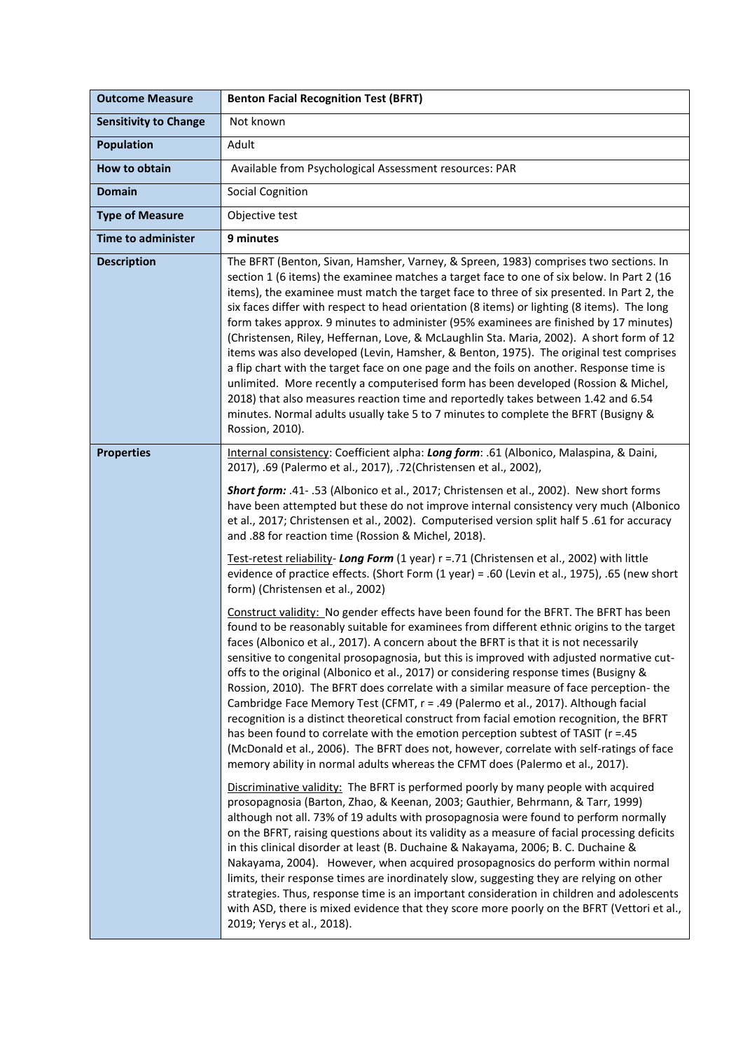| <b>Outcome Measure</b>       | <b>Benton Facial Recognition Test (BFRT)</b>                                                                                                                                                                                                                                                                                                                                                                                                                                                                                                                                                                                                                                                                                                                                                                                                                                                                                                                                                                                                                                                                                                                                                                                                                                                                                                                                                                                                                                                                                                                                                                                                                                                                                                                                                                                                                                                                                                                                                                                                                                                                                                                                                                                                                                                                                                                                                                                                                                                 |
|------------------------------|----------------------------------------------------------------------------------------------------------------------------------------------------------------------------------------------------------------------------------------------------------------------------------------------------------------------------------------------------------------------------------------------------------------------------------------------------------------------------------------------------------------------------------------------------------------------------------------------------------------------------------------------------------------------------------------------------------------------------------------------------------------------------------------------------------------------------------------------------------------------------------------------------------------------------------------------------------------------------------------------------------------------------------------------------------------------------------------------------------------------------------------------------------------------------------------------------------------------------------------------------------------------------------------------------------------------------------------------------------------------------------------------------------------------------------------------------------------------------------------------------------------------------------------------------------------------------------------------------------------------------------------------------------------------------------------------------------------------------------------------------------------------------------------------------------------------------------------------------------------------------------------------------------------------------------------------------------------------------------------------------------------------------------------------------------------------------------------------------------------------------------------------------------------------------------------------------------------------------------------------------------------------------------------------------------------------------------------------------------------------------------------------------------------------------------------------------------------------------------------------|
| <b>Sensitivity to Change</b> | Not known                                                                                                                                                                                                                                                                                                                                                                                                                                                                                                                                                                                                                                                                                                                                                                                                                                                                                                                                                                                                                                                                                                                                                                                                                                                                                                                                                                                                                                                                                                                                                                                                                                                                                                                                                                                                                                                                                                                                                                                                                                                                                                                                                                                                                                                                                                                                                                                                                                                                                    |
| <b>Population</b>            | Adult                                                                                                                                                                                                                                                                                                                                                                                                                                                                                                                                                                                                                                                                                                                                                                                                                                                                                                                                                                                                                                                                                                                                                                                                                                                                                                                                                                                                                                                                                                                                                                                                                                                                                                                                                                                                                                                                                                                                                                                                                                                                                                                                                                                                                                                                                                                                                                                                                                                                                        |
| How to obtain                | Available from Psychological Assessment resources: PAR                                                                                                                                                                                                                                                                                                                                                                                                                                                                                                                                                                                                                                                                                                                                                                                                                                                                                                                                                                                                                                                                                                                                                                                                                                                                                                                                                                                                                                                                                                                                                                                                                                                                                                                                                                                                                                                                                                                                                                                                                                                                                                                                                                                                                                                                                                                                                                                                                                       |
| <b>Domain</b>                | Social Cognition                                                                                                                                                                                                                                                                                                                                                                                                                                                                                                                                                                                                                                                                                                                                                                                                                                                                                                                                                                                                                                                                                                                                                                                                                                                                                                                                                                                                                                                                                                                                                                                                                                                                                                                                                                                                                                                                                                                                                                                                                                                                                                                                                                                                                                                                                                                                                                                                                                                                             |
| <b>Type of Measure</b>       | Objective test                                                                                                                                                                                                                                                                                                                                                                                                                                                                                                                                                                                                                                                                                                                                                                                                                                                                                                                                                                                                                                                                                                                                                                                                                                                                                                                                                                                                                                                                                                                                                                                                                                                                                                                                                                                                                                                                                                                                                                                                                                                                                                                                                                                                                                                                                                                                                                                                                                                                               |
| <b>Time to administer</b>    | 9 minutes                                                                                                                                                                                                                                                                                                                                                                                                                                                                                                                                                                                                                                                                                                                                                                                                                                                                                                                                                                                                                                                                                                                                                                                                                                                                                                                                                                                                                                                                                                                                                                                                                                                                                                                                                                                                                                                                                                                                                                                                                                                                                                                                                                                                                                                                                                                                                                                                                                                                                    |
| <b>Description</b>           | The BFRT (Benton, Sivan, Hamsher, Varney, & Spreen, 1983) comprises two sections. In<br>section 1 (6 items) the examinee matches a target face to one of six below. In Part 2 (16<br>items), the examinee must match the target face to three of six presented. In Part 2, the<br>six faces differ with respect to head orientation (8 items) or lighting (8 items). The long<br>form takes approx. 9 minutes to administer (95% examinees are finished by 17 minutes)<br>(Christensen, Riley, Heffernan, Love, & McLaughlin Sta. Maria, 2002). A short form of 12<br>items was also developed (Levin, Hamsher, & Benton, 1975). The original test comprises<br>a flip chart with the target face on one page and the foils on another. Response time is<br>unlimited. More recently a computerised form has been developed (Rossion & Michel,<br>2018) that also measures reaction time and reportedly takes between 1.42 and 6.54<br>minutes. Normal adults usually take 5 to 7 minutes to complete the BFRT (Busigny &<br>Rossion, 2010).                                                                                                                                                                                                                                                                                                                                                                                                                                                                                                                                                                                                                                                                                                                                                                                                                                                                                                                                                                                                                                                                                                                                                                                                                                                                                                                                                                                                                                                 |
| <b>Properties</b>            | Internal consistency: Coefficient alpha: Long form: .61 (Albonico, Malaspina, & Daini,<br>2017), .69 (Palermo et al., 2017), .72 (Christensen et al., 2002),<br>Short form: .41- .53 (Albonico et al., 2017; Christensen et al., 2002). New short forms<br>have been attempted but these do not improve internal consistency very much (Albonico<br>et al., 2017; Christensen et al., 2002). Computerised version split half 5 .61 for accuracy<br>and .88 for reaction time (Rossion & Michel, 2018).<br>Test-retest reliability- Long Form (1 year) r =.71 (Christensen et al., 2002) with little<br>evidence of practice effects. (Short Form (1 year) = .60 (Levin et al., 1975), .65 (new short<br>form) (Christensen et al., 2002)<br>Construct validity: No gender effects have been found for the BFRT. The BFRT has been<br>found to be reasonably suitable for examinees from different ethnic origins to the target<br>faces (Albonico et al., 2017). A concern about the BFRT is that it is not necessarily<br>sensitive to congenital prosopagnosia, but this is improved with adjusted normative cut-<br>offs to the original (Albonico et al., 2017) or considering response times (Busigny &<br>Rossion, 2010). The BFRT does correlate with a similar measure of face perception- the<br>Cambridge Face Memory Test (CFMT, r = .49 (Palermo et al., 2017). Although facial<br>recognition is a distinct theoretical construct from facial emotion recognition, the BFRT<br>has been found to correlate with the emotion perception subtest of TASIT (r = .45<br>(McDonald et al., 2006). The BFRT does not, however, correlate with self-ratings of face<br>memory ability in normal adults whereas the CFMT does (Palermo et al., 2017).<br>Discriminative validity: The BFRT is performed poorly by many people with acquired<br>prosopagnosia (Barton, Zhao, & Keenan, 2003; Gauthier, Behrmann, & Tarr, 1999)<br>although not all. 73% of 19 adults with prosopagnosia were found to perform normally<br>on the BFRT, raising questions about its validity as a measure of facial processing deficits<br>in this clinical disorder at least (B. Duchaine & Nakayama, 2006; B. C. Duchaine &<br>Nakayama, 2004). However, when acquired prosopagnosics do perform within normal<br>limits, their response times are inordinately slow, suggesting they are relying on other<br>strategies. Thus, response time is an important consideration in children and adolescents |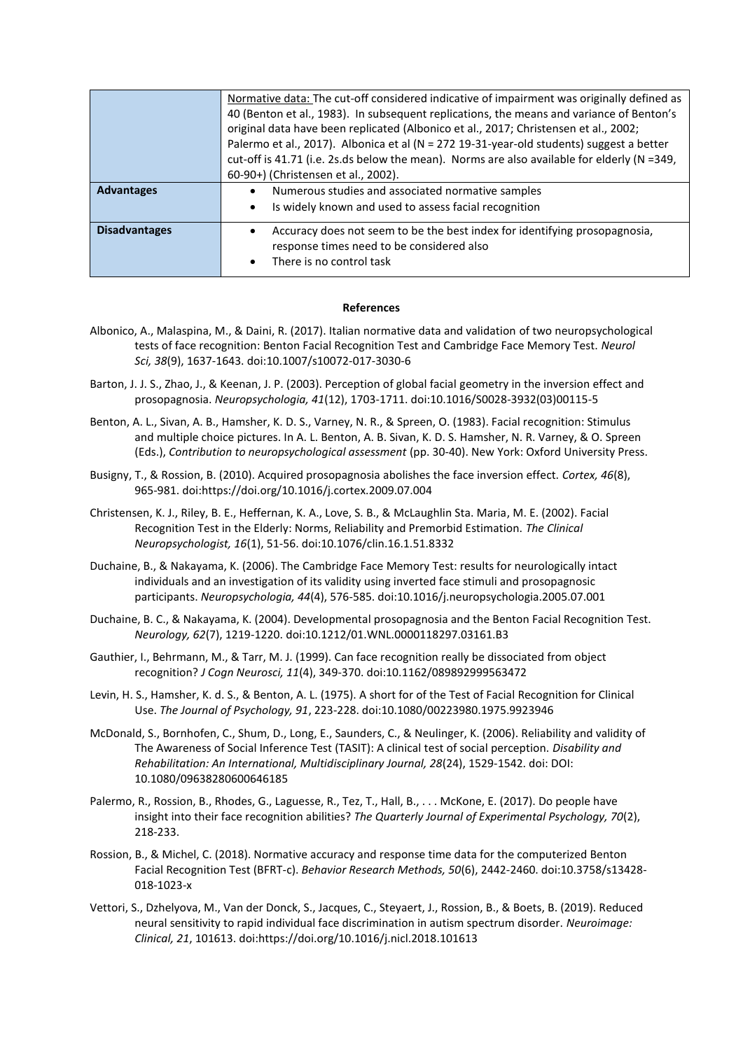|                      | Normative data: The cut-off considered indicative of impairment was originally defined as   |
|----------------------|---------------------------------------------------------------------------------------------|
|                      | 40 (Benton et al., 1983). In subsequent replications, the means and variance of Benton's    |
|                      | original data have been replicated (Albonico et al., 2017; Christensen et al., 2002;        |
|                      | Palermo et al., 2017). Albonica et al (N = 272 19-31-year-old students) suggest a better    |
|                      | cut-off is 41.71 (i.e. 2s.ds below the mean). Norms are also available for elderly (N =349, |
|                      | 60-90+) (Christensen et al., 2002).                                                         |
| <b>Advantages</b>    | Numerous studies and associated normative samples                                           |
|                      | Is widely known and used to assess facial recognition<br>$\bullet$                          |
| <b>Disadvantages</b> | Accuracy does not seem to be the best index for identifying prosopagnosia,                  |
|                      | response times need to be considered also                                                   |
|                      | There is no control task                                                                    |

## **References**

- Albonico, A., Malaspina, M., & Daini, R. (2017). Italian normative data and validation of two neuropsychological tests of face recognition: Benton Facial Recognition Test and Cambridge Face Memory Test. *Neurol Sci, 38*(9), 1637-1643. doi:10.1007/s10072-017-3030-6
- Barton, J. J. S., Zhao, J., & Keenan, J. P. (2003). Perception of global facial geometry in the inversion effect and prosopagnosia. *Neuropsychologia, 41*(12), 1703-1711. doi:10.1016/S0028-3932(03)00115-5
- Benton, A. L., Sivan, A. B., Hamsher, K. D. S., Varney, N. R., & Spreen, O. (1983). Facial recognition: Stimulus and multiple choice pictures. In A. L. Benton, A. B. Sivan, K. D. S. Hamsher, N. R. Varney, & O. Spreen (Eds.), *Contribution to neuropsychological assessment* (pp. 30-40). New York: Oxford University Press.
- Busigny, T., & Rossion, B. (2010). Acquired prosopagnosia abolishes the face inversion effect. *Cortex, 46*(8), 965-981. doi:https://doi.org/10.1016/j.cortex.2009.07.004
- Christensen, K. J., Riley, B. E., Heffernan, K. A., Love, S. B., & McLaughlin Sta. Maria, M. E. (2002). Facial Recognition Test in the Elderly: Norms, Reliability and Premorbid Estimation. *The Clinical Neuropsychologist, 16*(1), 51-56. doi:10.1076/clin.16.1.51.8332
- Duchaine, B., & Nakayama, K. (2006). The Cambridge Face Memory Test: results for neurologically intact individuals and an investigation of its validity using inverted face stimuli and prosopagnosic participants. *Neuropsychologia, 44*(4), 576-585. doi:10.1016/j.neuropsychologia.2005.07.001
- Duchaine, B. C., & Nakayama, K. (2004). Developmental prosopagnosia and the Benton Facial Recognition Test. *Neurology, 62*(7), 1219-1220. doi:10.1212/01.WNL.0000118297.03161.B3
- Gauthier, I., Behrmann, M., & Tarr, M. J. (1999). Can face recognition really be dissociated from object recognition? *J Cogn Neurosci, 11*(4), 349-370. doi:10.1162/089892999563472
- Levin, H. S., Hamsher, K. d. S., & Benton, A. L. (1975). A short for of the Test of Facial Recognition for Clinical Use. *The Journal of Psychology, 91*, 223-228. doi:10.1080/00223980.1975.9923946
- McDonald, S., Bornhofen, C., Shum, D., Long, E., Saunders, C., & Neulinger, K. (2006). Reliability and validity of The Awareness of Social Inference Test (TASIT): A clinical test of social perception. *Disability and Rehabilitation: An International, Multidisciplinary Journal, 28*(24), 1529-1542. doi: DOI: 10.1080/09638280600646185
- Palermo, R., Rossion, B., Rhodes, G., Laguesse, R., Tez, T., Hall, B., . . . McKone, E. (2017). Do people have insight into their face recognition abilities? *The Quarterly Journal of Experimental Psychology, 70*(2), 218-233.
- Rossion, B., & Michel, C. (2018). Normative accuracy and response time data for the computerized Benton Facial Recognition Test (BFRT-c). *Behavior Research Methods, 50*(6), 2442-2460. doi:10.3758/s13428- 018-1023-x
- Vettori, S., Dzhelyova, M., Van der Donck, S., Jacques, C., Steyaert, J., Rossion, B., & Boets, B. (2019). Reduced neural sensitivity to rapid individual face discrimination in autism spectrum disorder. *Neuroimage: Clinical, 21*, 101613. doi:https://doi.org/10.1016/j.nicl.2018.101613